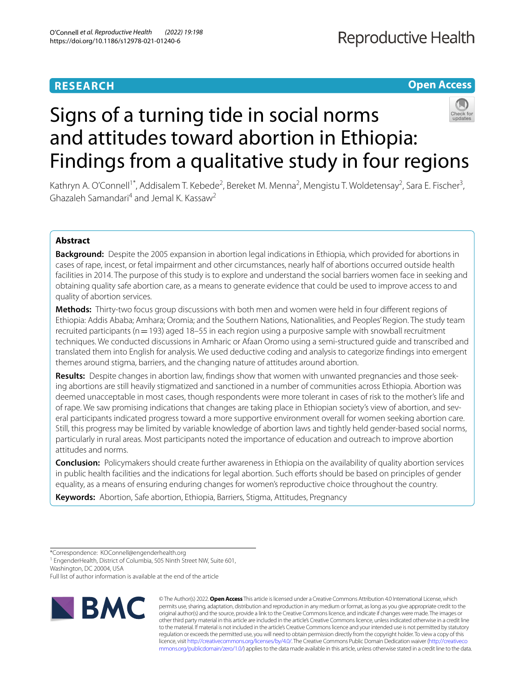# **RESEARCH**

# **Open Access**



# Signs of a turning tide in social norms and attitudes toward abortion in Ethiopia: Findings from a qualitative study in four regions

Kathryn A. O'Connell<sup>1\*</sup>, Addisalem T. Kebede<sup>2</sup>, Bereket M. Menna<sup>2</sup>, Mengistu T. Woldetensay<sup>2</sup>, Sara E. Fischer<sup>3</sup>, Ghazaleh Samandari<sup>4</sup> and Jemal K. Kassaw2

# **Abstract**

**Background:** Despite the 2005 expansion in abortion legal indications in Ethiopia, which provided for abortions in cases of rape, incest, or fetal impairment and other circumstances, nearly half of abortions occurred outside health facilities in 2014. The purpose of this study is to explore and understand the social barriers women face in seeking and obtaining quality safe abortion care, as a means to generate evidence that could be used to improve access to and quality of abortion services.

**Methods:** Thirty-two focus group discussions with both men and women were held in four diferent regions of Ethiopia: Addis Ababa; Amhara; Oromia; and the Southern Nations, Nationalities, and Peoples' Region. The study team recruited participants ( $n=193$ ) aged 18–55 in each region using a purposive sample with snowball recruitment techniques. We conducted discussions in Amharic or Afaan Oromo using a semi-structured guide and transcribed and translated them into English for analysis. We used deductive coding and analysis to categorize fndings into emergent themes around stigma, barriers, and the changing nature of attitudes around abortion.

**Results:** Despite changes in abortion law, fndings show that women with unwanted pregnancies and those seeking abortions are still heavily stigmatized and sanctioned in a number of communities across Ethiopia. Abortion was deemed unacceptable in most cases, though respondents were more tolerant in cases of risk to the mother's life and of rape. We saw promising indications that changes are taking place in Ethiopian society's view of abortion, and several participants indicated progress toward a more supportive environment overall for women seeking abortion care. Still, this progress may be limited by variable knowledge of abortion laws and tightly held gender-based social norms, particularly in rural areas. Most participants noted the importance of education and outreach to improve abortion attitudes and norms.

**Conclusion:** Policymakers should create further awareness in Ethiopia on the availability of quality abortion services in public health facilities and the indications for legal abortion. Such efforts should be based on principles of gender equality, as a means of ensuring enduring changes for women's reproductive choice throughout the country.

**Keywords:** Abortion, Safe abortion, Ethiopia, Barriers, Stigma, Attitudes, Pregnancy

<sup>1</sup> EngenderHealth, District of Columbia, 505 Ninth Street NW, Suite 601, Washington, DC 20004, USA

Full list of author information is available at the end of the article



© The Author(s) 2022. **Open Access** This article is licensed under a Creative Commons Attribution 4.0 International License, which permits use, sharing, adaptation, distribution and reproduction in any medium or format, as long as you give appropriate credit to the original author(s) and the source, provide a link to the Creative Commons licence, and indicate if changes were made. The images or other third party material in this article are included in the article's Creative Commons licence, unless indicated otherwise in a credit line to the material. If material is not included in the article's Creative Commons licence and your intended use is not permitted by statutory regulation or exceeds the permitted use, you will need to obtain permission directly from the copyright holder. To view a copy of this licence, visit [http://creativecommons.org/licenses/by/4.0/.](http://creativecommons.org/licenses/by/4.0/) The Creative Commons Public Domain Dedication waiver ([http://creativeco](http://creativecommons.org/publicdomain/zero/1.0/) [mmons.org/publicdomain/zero/1.0/](http://creativecommons.org/publicdomain/zero/1.0/)) applies to the data made available in this article, unless otherwise stated in a credit line to the data.

<sup>\*</sup>Correspondence: KOConnell@engenderhealth.org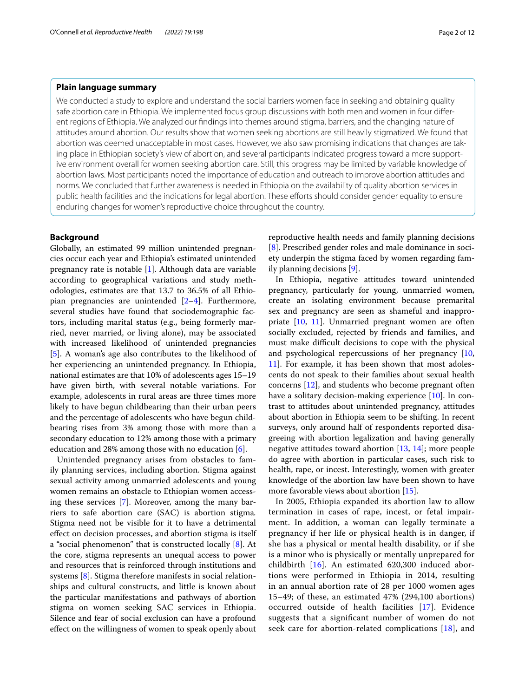# **Plain language summary**

We conducted a study to explore and understand the social barriers women face in seeking and obtaining quality safe abortion care in Ethiopia. We implemented focus group discussions with both men and women in four diferent regions of Ethiopia. We analyzed our fndings into themes around stigma, barriers, and the changing nature of attitudes around abortion. Our results show that women seeking abortions are still heavily stigmatized. We found that abortion was deemed unacceptable in most cases. However, we also saw promising indications that changes are taking place in Ethiopian society's view of abortion, and several participants indicated progress toward a more supportive environment overall for women seeking abortion care. Still, this progress may be limited by variable knowledge of abortion laws. Most participants noted the importance of education and outreach to improve abortion attitudes and norms. We concluded that further awareness is needed in Ethiopia on the availability of quality abortion services in public health facilities and the indications for legal abortion. These efforts should consider gender equality to ensure enduring changes for women's reproductive choice throughout the country.

# **Background**

Globally, an estimated 99 million unintended pregnancies occur each year and Ethiopia's estimated unintended pregnancy rate is notable [\[1](#page-11-0)]. Although data are variable according to geographical variations and study methodologies, estimates are that 13.7 to 36.5% of all Ethiopian pregnancies are unintended [\[2–](#page-11-1)[4\]](#page-11-2). Furthermore, several studies have found that sociodemographic factors, including marital status (e.g., being formerly married, never married, or living alone), may be associated with increased likelihood of unintended pregnancies [[5\]](#page-11-3). A woman's age also contributes to the likelihood of her experiencing an unintended pregnancy. In Ethiopia, national estimates are that 10% of adolescents ages 15–19 have given birth, with several notable variations. For example, adolescents in rural areas are three times more likely to have begun childbearing than their urban peers and the percentage of adolescents who have begun childbearing rises from 3% among those with more than a secondary education to 12% among those with a primary education and 28% among those with no education  $[6]$  $[6]$ .

Unintended pregnancy arises from obstacles to family planning services, including abortion. Stigma against sexual activity among unmarried adolescents and young women remains an obstacle to Ethiopian women accessing these services [\[7](#page-11-5)]. Moreover, among the many barriers to safe abortion care (SAC) is abortion stigma*.* Stigma need not be visible for it to have a detrimental efect on decision processes, and abortion stigma is itself a "social phenomenon" that is constructed locally [\[8](#page-11-6)]. At the core, stigma represents an unequal access to power and resources that is reinforced through institutions and systems [\[8](#page-11-6)]. Stigma therefore manifests in social relationships and cultural constructs, and little is known about the particular manifestations and pathways of abortion stigma on women seeking SAC services in Ethiopia. Silence and fear of social exclusion can have a profound efect on the willingness of women to speak openly about reproductive health needs and family planning decisions [[8\]](#page-11-6). Prescribed gender roles and male dominance in society underpin the stigma faced by women regarding family planning decisions [\[9](#page-11-7)].

In Ethiopia, negative attitudes toward unintended pregnancy, particularly for young, unmarried women, create an isolating environment because premarital sex and pregnancy are seen as shameful and inappropriate [\[10](#page-11-8), [11](#page-11-9)]. Unmarried pregnant women are often socially excluded, rejected by friends and families, and must make difficult decisions to cope with the physical and psychological repercussions of her pregnancy [[10](#page-11-8), [11\]](#page-11-9). For example, it has been shown that most adolescents do not speak to their families about sexual health concerns [[12\]](#page-11-10), and students who become pregnant often have a solitary decision-making experience [[10\]](#page-11-8). In contrast to attitudes about unintended pregnancy, attitudes about abortion in Ethiopia seem to be shifting. In recent surveys, only around half of respondents reported disagreeing with abortion legalization and having generally negative attitudes toward abortion [\[13](#page-11-11), [14](#page-11-12)]; more people do agree with abortion in particular cases, such risk to health, rape, or incest. Interestingly, women with greater knowledge of the abortion law have been shown to have more favorable views about abortion [[15](#page-11-13)].

In 2005, Ethiopia expanded its abortion law to allow termination in cases of rape, incest, or fetal impairment. In addition, a woman can legally terminate a pregnancy if her life or physical health is in danger, if she has a physical or mental health disability, or if she is a minor who is physically or mentally unprepared for childbirth [[16](#page-11-14)]. An estimated 620,300 induced abortions were performed in Ethiopia in 2014, resulting in an annual abortion rate of 28 per 1000 women ages 15–49; of these, an estimated 47% (294,100 abortions) occurred outside of health facilities [[17\]](#page-11-15). Evidence suggests that a signifcant number of women do not seek care for abortion-related complications [\[18\]](#page-11-16), and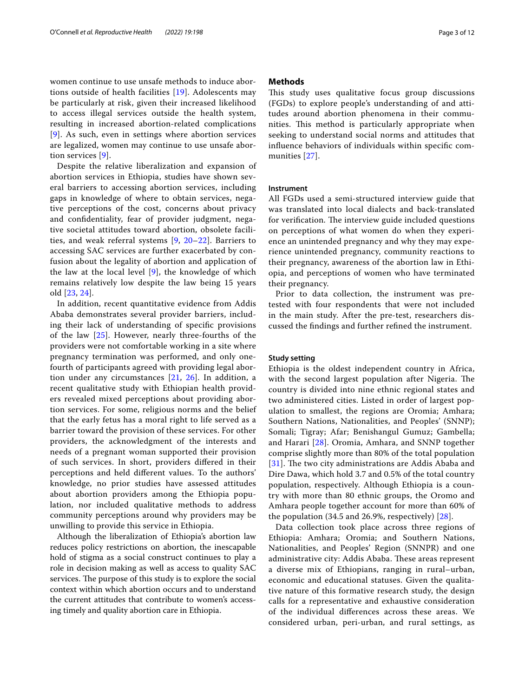women continue to use unsafe methods to induce abortions outside of health facilities [\[19\]](#page-11-17). Adolescents may be particularly at risk, given their increased likelihood to access illegal services outside the health system, resulting in increased abortion-related complications [[9](#page-11-7)]. As such, even in settings where abortion services are legalized, women may continue to use unsafe abortion services [\[9](#page-11-7)].

Despite the relative liberalization and expansion of abortion services in Ethiopia, studies have shown several barriers to accessing abortion services, including gaps in knowledge of where to obtain services, negative perceptions of the cost, concerns about privacy and confdentiality, fear of provider judgment, negative societal attitudes toward abortion, obsolete facilities, and weak referral systems [\[9](#page-11-7), [20–](#page-11-18)[22\]](#page-11-19). Barriers to accessing SAC services are further exacerbated by confusion about the legality of abortion and application of the law at the local level [[9\]](#page-11-7), the knowledge of which remains relatively low despite the law being 15 years old [[23,](#page-11-20) [24\]](#page-11-21).

In addition, recent quantitative evidence from Addis Ababa demonstrates several provider barriers, including their lack of understanding of specifc provisions of the law [\[25](#page-11-22)]. However, nearly three-fourths of the providers were not comfortable working in a site where pregnancy termination was performed, and only onefourth of participants agreed with providing legal abortion under any circumstances [[21](#page-11-23), [26\]](#page-11-24). In addition, a recent qualitative study with Ethiopian health providers revealed mixed perceptions about providing abortion services. For some, religious norms and the belief that the early fetus has a moral right to life served as a barrier toward the provision of these services. For other providers, the acknowledgment of the interests and needs of a pregnant woman supported their provision of such services. In short, providers difered in their perceptions and held diferent values. To the authors' knowledge, no prior studies have assessed attitudes about abortion providers among the Ethiopia population, nor included qualitative methods to address community perceptions around why providers may be unwilling to provide this service in Ethiopia.

Although the liberalization of Ethiopia's abortion law reduces policy restrictions on abortion, the inescapable hold of stigma as a social construct continues to play a role in decision making as well as access to quality SAC services. The purpose of this study is to explore the social context within which abortion occurs and to understand the current attitudes that contribute to women's accessing timely and quality abortion care in Ethiopia.

# **Methods**

This study uses qualitative focus group discussions (FGDs) to explore people's understanding of and attitudes around abortion phenomena in their communities. This method is particularly appropriate when seeking to understand social norms and attitudes that infuence behaviors of individuals within specifc communities [\[27](#page-11-25)].

## **Instrument**

All FGDs used a semi-structured interview guide that was translated into local dialects and back-translated for verification. The interview guide included questions on perceptions of what women do when they experience an unintended pregnancy and why they may experience unintended pregnancy, community reactions to their pregnancy, awareness of the abortion law in Ethiopia, and perceptions of women who have terminated their pregnancy.

Prior to data collection, the instrument was pretested with four respondents that were not included in the main study. After the pre-test, researchers discussed the fndings and further refned the instrument.

#### **Study setting**

Ethiopia is the oldest independent country in Africa, with the second largest population after Nigeria. The country is divided into nine ethnic regional states and two administered cities. Listed in order of largest population to smallest, the regions are Oromia; Amhara; Southern Nations, Nationalities, and Peoples' (SNNP); Somali; Tigray; Afar; Benishangul Gumuz; Gambella; and Harari [[28\]](#page-11-26). Oromia, Amhara, and SNNP together comprise slightly more than 80% of the total population [[31](#page-11-27)]. The two city administrations are Addis Ababa and Dire Dawa, which hold 3.7 and 0.5% of the total country population, respectively. Although Ethiopia is a country with more than 80 ethnic groups, the Oromo and Amhara people together account for more than 60% of the population (34.5 and 26.9%, respectively) [[28\]](#page-11-26).

Data collection took place across three regions of Ethiopia: Amhara; Oromia; and Southern Nations, Nationalities, and Peoples' Region (SNNPR) and one administrative city: Addis Ababa. These areas represent a diverse mix of Ethiopians, ranging in rural–urban, economic and educational statuses. Given the qualitative nature of this formative research study, the design calls for a representative and exhaustive consideration of the individual diferences across these areas. We considered urban, peri-urban, and rural settings, as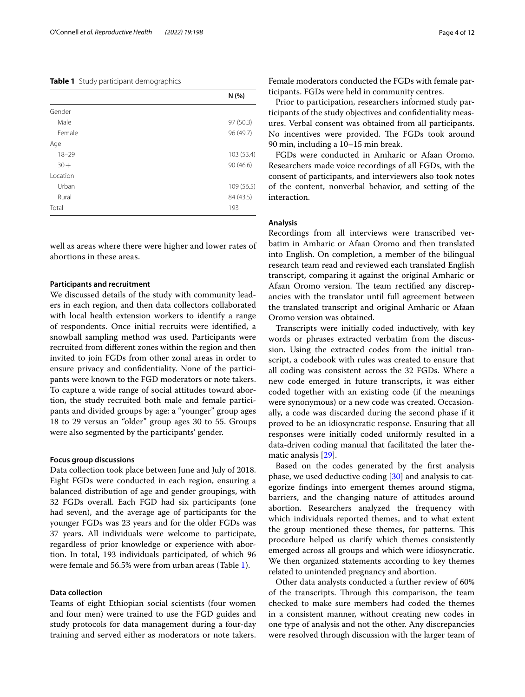#### <span id="page-3-0"></span>**Table 1** Study participant demographics

|           | N(% )      |
|-----------|------------|
| Gender    |            |
| Male      | 97 (50.3)  |
| Female    | 96 (49.7)  |
| Age       |            |
| $18 - 29$ | 103 (53.4) |
| $30 +$    | 90 (46.6)  |
| Location  |            |
| Urban     | 109 (56.5) |
| Rural     | 84 (43.5)  |
| Total     | 193        |
|           |            |

well as areas where there were higher and lower rates of abortions in these areas.

## **Participants and recruitment**

We discussed details of the study with community leaders in each region, and then data collectors collaborated with local health extension workers to identify a range of respondents. Once initial recruits were identifed, a snowball sampling method was used. Participants were recruited from diferent zones within the region and then invited to join FGDs from other zonal areas in order to ensure privacy and confdentiality. None of the participants were known to the FGD moderators or note takers. To capture a wide range of social attitudes toward abortion, the study recruited both male and female participants and divided groups by age: a "younger" group ages 18 to 29 versus an "older" group ages 30 to 55. Groups were also segmented by the participants' gender.

#### **Focus group discussions**

Data collection took place between June and July of 2018. Eight FGDs were conducted in each region, ensuring a balanced distribution of age and gender groupings, with 32 FGDs overall. Each FGD had six participants (one had seven), and the average age of participants for the younger FGDs was 23 years and for the older FGDs was 37 years. All individuals were welcome to participate, regardless of prior knowledge or experience with abortion. In total, 193 individuals participated, of which 96 were female and 56.5% were from urban areas (Table [1](#page-3-0)).

#### **Data collection**

Teams of eight Ethiopian social scientists (four women and four men) were trained to use the FGD guides and study protocols for data management during a four-day training and served either as moderators or note takers. Female moderators conducted the FGDs with female participants. FGDs were held in community centres.

Prior to participation, researchers informed study participants of the study objectives and confdentiality measures. Verbal consent was obtained from all participants. No incentives were provided. The FGDs took around 90 min, including a 10–15 min break.

FGDs were conducted in Amharic or Afaan Oromo. Researchers made voice recordings of all FGDs, with the consent of participants, and interviewers also took notes of the content, nonverbal behavior, and setting of the interaction.

# **Analysis**

Recordings from all interviews were transcribed verbatim in Amharic or Afaan Oromo and then translated into English. On completion, a member of the bilingual research team read and reviewed each translated English transcript, comparing it against the original Amharic or Afaan Oromo version. The team rectified any discrepancies with the translator until full agreement between the translated transcript and original Amharic or Afaan Oromo version was obtained.

Transcripts were initially coded inductively, with key words or phrases extracted verbatim from the discussion. Using the extracted codes from the initial transcript, a codebook with rules was created to ensure that all coding was consistent across the 32 FGDs. Where a new code emerged in future transcripts, it was either coded together with an existing code (if the meanings were synonymous) or a new code was created. Occasionally, a code was discarded during the second phase if it proved to be an idiosyncratic response. Ensuring that all responses were initially coded uniformly resulted in a data-driven coding manual that facilitated the later thematic analysis [\[29](#page-11-28)].

Based on the codes generated by the frst analysis phase, we used deductive coding [[30](#page-11-29)] and analysis to categorize fndings into emergent themes around stigma, barriers, and the changing nature of attitudes around abortion. Researchers analyzed the frequency with which individuals reported themes, and to what extent the group mentioned these themes, for patterns. This procedure helped us clarify which themes consistently emerged across all groups and which were idiosyncratic. We then organized statements according to key themes related to unintended pregnancy and abortion.

Other data analysts conducted a further review of 60% of the transcripts. Through this comparison, the team checked to make sure members had coded the themes in a consistent manner, without creating new codes in one type of analysis and not the other. Any discrepancies were resolved through discussion with the larger team of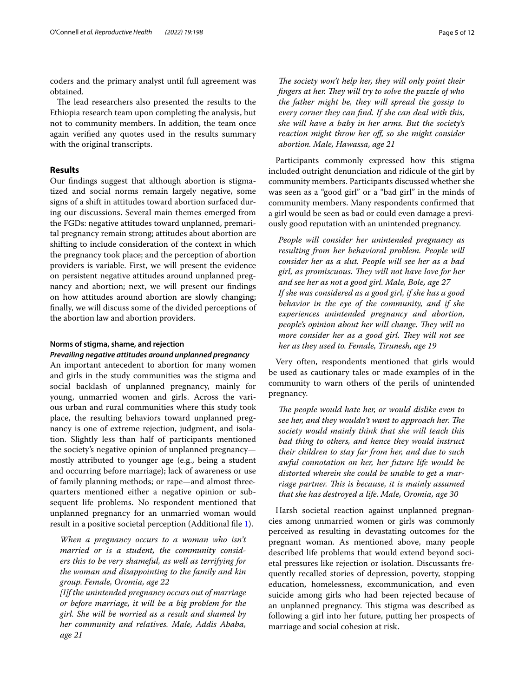coders and the primary analyst until full agreement was obtained.

The lead researchers also presented the results to the Ethiopia research team upon completing the analysis, but not to community members. In addition, the team once again verifed any quotes used in the results summary with the original transcripts.

# **Results**

Our fndings suggest that although abortion is stigmatized and social norms remain largely negative, some signs of a shift in attitudes toward abortion surfaced during our discussions. Several main themes emerged from the FGDs: negative attitudes toward unplanned, premarital pregnancy remain strong; attitudes about abortion are shifting to include consideration of the context in which the pregnancy took place; and the perception of abortion providers is variable. First, we will present the evidence on persistent negative attitudes around unplanned pregnancy and abortion; next, we will present our fndings on how attitudes around abortion are slowly changing; fnally, we will discuss some of the divided perceptions of the abortion law and abortion providers.

#### **Norms of stigma, shame, and rejection**

#### *Prevailing negative attitudes around unplanned pregnancy*

An important antecedent to abortion for many women and girls in the study communities was the stigma and social backlash of unplanned pregnancy, mainly for young, unmarried women and girls. Across the various urban and rural communities where this study took place, the resulting behaviors toward unplanned pregnancy is one of extreme rejection, judgment, and isolation. Slightly less than half of participants mentioned the society's negative opinion of unplanned pregnancy mostly attributed to younger age (e.g., being a student and occurring before marriage); lack of awareness or use of family planning methods; or rape—and almost threequarters mentioned either a negative opinion or subsequent life problems. No respondent mentioned that unplanned pregnancy for an unmarried woman would result in a positive societal perception (Additional fle [1](#page-10-0)).

*When a pregnancy occurs to a woman who isn't married or is a student, the community considers this to be very shameful, as well as terrifying for the woman and disappointing to the family and kin group. Female, Oromia, age 22*

*[I]f the unintended pregnancy occurs out of marriage or before marriage, it will be a big problem for the girl. She will be worried as a result and shamed by her community and relatives. Male, Addis Ababa, age 21*

The society won't help her, they will only point their *fingers at her. They will try to solve the puzzle of who the father might be, they will spread the gossip to every corner they can fnd. If she can deal with this, she will have a baby in her arms. But the society's reaction might throw her of, so she might consider abortion. Male, Hawassa, age 21*

Participants commonly expressed how this stigma included outright denunciation and ridicule of the girl by community members. Participants discussed whether she was seen as a "good girl" or a "bad girl" in the minds of community members. Many respondents confrmed that a girl would be seen as bad or could even damage a previously good reputation with an unintended pregnancy.

*People will consider her unintended pregnancy as resulting from her behavioral problem. People will consider her as a slut. People will see her as a bad girl, as promiscuous. They will not have love for her and see her as not a good girl. Male, Bole, age 27 If she was considered as a good girl, if she has a good behavior in the eye of the community, and if she experiences unintended pregnancy and abortion, people's opinion about her will change. They will no more consider her as a good girl. They will not see her as they used to. Female, Tirunesh, age 19*

Very often, respondents mentioned that girls would be used as cautionary tales or made examples of in the community to warn others of the perils of unintended pregnancy.

The people would hate her, or would dislike even to *see her, and they wouldn't want to approach her. The society would mainly think that she will teach this bad thing to others, and hence they would instruct their children to stay far from her, and due to such awful connotation on her, her future life would be distorted wherein she could be unable to get a marriage partner. Tis is because, it is mainly assumed that she has destroyed a life. Male, Oromia, age 30*

Harsh societal reaction against unplanned pregnancies among unmarried women or girls was commonly perceived as resulting in devastating outcomes for the pregnant woman. As mentioned above, many people described life problems that would extend beyond societal pressures like rejection or isolation. Discussants frequently recalled stories of depression, poverty, stopping education, homelessness, excommunication, and even suicide among girls who had been rejected because of an unplanned pregnancy. This stigma was described as following a girl into her future, putting her prospects of marriage and social cohesion at risk.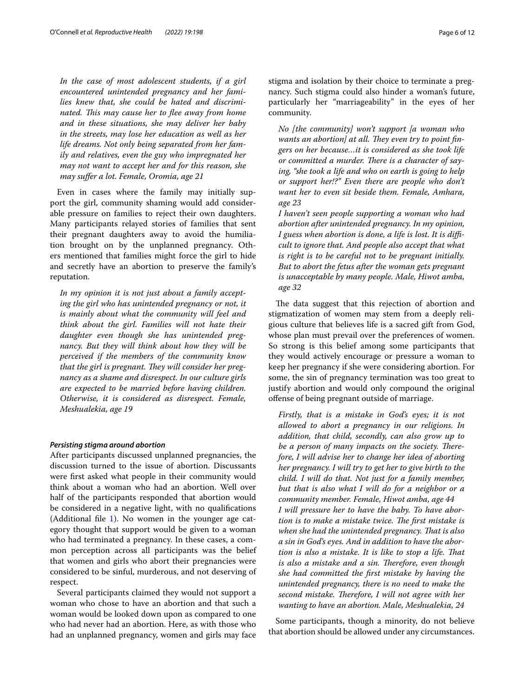*In the case of most adolescent students, if a girl encountered unintended pregnancy and her families knew that, she could be hated and discriminated. Tis may cause her to fee away from home and in these situations, she may deliver her baby in the streets, may lose her education as well as her life dreams. Not only being separated from her family and relatives, even the guy who impregnated her may not want to accept her and for this reason, she may sufer a lot. Female, Oromia, age 21*

Even in cases where the family may initially support the girl, community shaming would add considerable pressure on families to reject their own daughters. Many participants relayed stories of families that sent their pregnant daughters away to avoid the humiliation brought on by the unplanned pregnancy. Others mentioned that families might force the girl to hide and secretly have an abortion to preserve the family's reputation.

*In my opinion it is not just about a family accepting the girl who has unintended pregnancy or not, it is mainly about what the community will feel and think about the girl. Families will not hate their daughter even though she has unintended pregnancy. But they will think about how they will be perceived if the members of the community know that the girl is pregnant. They will consider her pregnancy as a shame and disrespect. In our culture girls are expected to be married before having children. Otherwise, it is considered as disrespect. Female, Meshualekia, age 19*

#### *Persisting stigma around abortion*

After participants discussed unplanned pregnancies, the discussion turned to the issue of abortion. Discussants were frst asked what people in their community would think about a woman who had an abortion. Well over half of the participants responded that abortion would be considered in a negative light, with no qualifcations (Additional file [1](#page-10-0)). No women in the younger age category thought that support would be given to a woman who had terminated a pregnancy. In these cases, a common perception across all participants was the belief that women and girls who abort their pregnancies were considered to be sinful, murderous, and not deserving of respect.

Several participants claimed they would not support a woman who chose to have an abortion and that such a woman would be looked down upon as compared to one who had never had an abortion. Here, as with those who had an unplanned pregnancy, women and girls may face stigma and isolation by their choice to terminate a pregnancy. Such stigma could also hinder a woman's future, particularly her "marriageability" in the eyes of her community.

*No [the community] won't support [a woman who*  wants an abortion] at all. They even try to point fin*gers on her because…it is considered as she took life*  or committed a murder. There is a character of say*ing, "she took a life and who on earth is going to help or support her!?" Even there are people who don't want her to even sit beside them. Female, Amhara, age 23*

*I haven't seen people supporting a woman who had abortion after unintended pregnancy. In my opinion, I guess when abortion is done, a life is lost. It is difcult to ignore that. And people also accept that what is right is to be careful not to be pregnant initially. But to abort the fetus after the woman gets pregnant is unacceptable by many people. Male, Hiwot amba, age 32*

The data suggest that this rejection of abortion and stigmatization of women may stem from a deeply religious culture that believes life is a sacred gift from God, whose plan must prevail over the preferences of women. So strong is this belief among some participants that they would actively encourage or pressure a woman to keep her pregnancy if she were considering abortion. For some, the sin of pregnancy termination was too great to justify abortion and would only compound the original ofense of being pregnant outside of marriage.

*Firstly, that is a mistake in God's eyes; it is not allowed to abort a pregnancy in our religions. In addition, that child, secondly, can also grow up to*  be a person of many impacts on the society. There*fore, I will advise her to change her idea of aborting her pregnancy. I will try to get her to give birth to the child. I will do that. Not just for a family member, but that is also what I will do for a neighbor or a community member. Female, Hiwot amba, age 44 I will pressure her to have the baby. To have abortion is to make a mistake twice. The first mistake is when she had the unintended pregnancy. Tat is also a sin in God's eyes. And in addition to have the abortion is also a mistake. It is like to stop a life. That is also a mistake and a sin. Therefore, even though she had committed the frst mistake by having the unintended pregnancy, there is no need to make the*  second mistake. Therefore, I will not agree with her *wanting to have an abortion. Male, Meshualekia, 24*

Some participants, though a minority, do not believe that abortion should be allowed under any circumstances.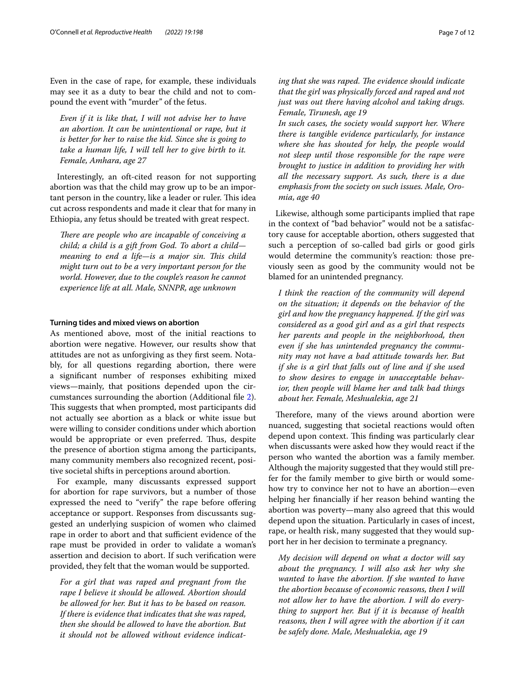Even in the case of rape, for example, these individuals may see it as a duty to bear the child and not to compound the event with "murder" of the fetus.

*Even if it is like that, I will not advise her to have an abortion. It can be unintentional or rape, but it is better for her to raise the kid. Since she is going to take a human life, I will tell her to give birth to it. Female, Amhara, age 27*

Interestingly, an oft-cited reason for not supporting abortion was that the child may grow up to be an important person in the country, like a leader or ruler. This idea cut across respondents and made it clear that for many in Ethiopia, any fetus should be treated with great respect.

*There are people who are incapable of conceiving a child; a child is a gift from God. To abort a child meaning to end a life—is a major sin. This child might turn out to be a very important person for the world. However, due to the couple's reason he cannot experience life at all. Male, SNNPR, age unknown*

#### **Turning tides and mixed views on abortion**

As mentioned above, most of the initial reactions to abortion were negative. However, our results show that attitudes are not as unforgiving as they frst seem. Notably, for all questions regarding abortion, there were a signifcant number of responses exhibiting mixed views—mainly, that positions depended upon the circumstances surrounding the abortion (Additional fle [2](#page-10-1)). This suggests that when prompted, most participants did not actually see abortion as a black or white issue but were willing to consider conditions under which abortion would be appropriate or even preferred. Thus, despite the presence of abortion stigma among the participants, many community members also recognized recent, positive societal shifts in perceptions around abortion.

For example, many discussants expressed support for abortion for rape survivors, but a number of those expressed the need to "verify" the rape before offering acceptance or support. Responses from discussants suggested an underlying suspicion of women who claimed rape in order to abort and that sufficient evidence of the rape must be provided in order to validate a woman's assertion and decision to abort. If such verifcation were provided, they felt that the woman would be supported.

*For a girl that was raped and pregnant from the rape I believe it should be allowed. Abortion should be allowed for her. But it has to be based on reason. If there is evidence that indicates that she was raped, then she should be allowed to have the abortion. But it should not be allowed without evidence indicat-* ing that she was raped. The evidence should indicate *that the girl was physically forced and raped and not just was out there having alcohol and taking drugs. Female, Tirunesh, age 19*

*In such cases, the society would support her. Where there is tangible evidence particularly, for instance where she has shouted for help, the people would not sleep until those responsible for the rape were brought to justice in addition to providing her with all the necessary support. As such, there is a due emphasis from the society on such issues. Male, Oromia, age 40*

Likewise, although some participants implied that rape in the context of "bad behavior" would not be a satisfactory cause for acceptable abortion, others suggested that such a perception of so-called bad girls or good girls would determine the community's reaction: those previously seen as good by the community would not be blamed for an unintended pregnancy.

*I think the reaction of the community will depend on the situation; it depends on the behavior of the girl and how the pregnancy happened. If the girl was considered as a good girl and as a girl that respects her parents and people in the neighborhood, then even if she has unintended pregnancy the community may not have a bad attitude towards her. But if she is a girl that falls out of line and if she used to show desires to engage in unacceptable behavior, then people will blame her and talk bad things about her. Female, Meshualekia, age 21*

Therefore, many of the views around abortion were nuanced, suggesting that societal reactions would often depend upon context. This finding was particularly clear when discussants were asked how they would react if the person who wanted the abortion was a family member. Although the majority suggested that they would still prefer for the family member to give birth or would somehow try to convince her not to have an abortion—even helping her fnancially if her reason behind wanting the abortion was poverty—many also agreed that this would depend upon the situation. Particularly in cases of incest, rape, or health risk, many suggested that they would support her in her decision to terminate a pregnancy.

*My decision will depend on what a doctor will say about the pregnancy. I will also ask her why she wanted to have the abortion. If she wanted to have the abortion because of economic reasons, then I will not allow her to have the abortion. I will do everything to support her. But if it is because of health reasons, then I will agree with the abortion if it can be safely done. Male, Meshualekia, age 19*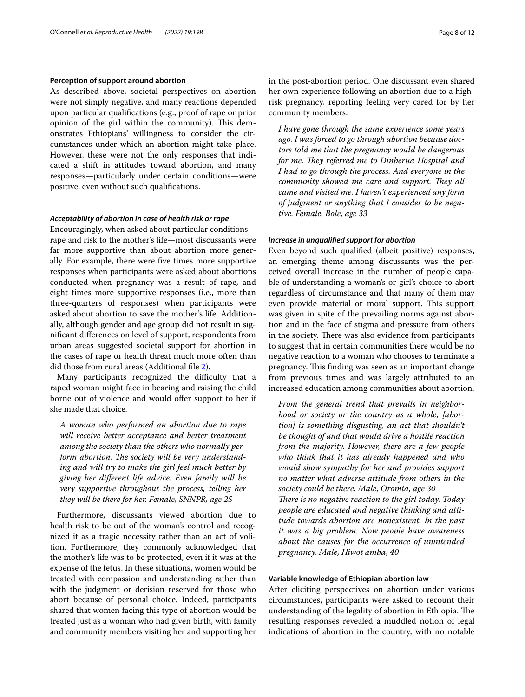#### **Perception of support around abortion**

As described above, societal perspectives on abortion were not simply negative, and many reactions depended upon particular qualifcations (e.g., proof of rape or prior opinion of the girl within the community). This demonstrates Ethiopians' willingness to consider the circumstances under which an abortion might take place. However, these were not the only responses that indicated a shift in attitudes toward abortion, and many responses—particularly under certain conditions—were positive, even without such qualifcations.

## *Acceptability of abortion in case of health risk or rape*

Encouragingly, when asked about particular conditions rape and risk to the mother's life—most discussants were far more supportive than about abortion more generally. For example, there were fve times more supportive responses when participants were asked about abortions conducted when pregnancy was a result of rape, and eight times more supportive responses (i.e., more than three-quarters of responses) when participants were asked about abortion to save the mother's life. Additionally, although gender and age group did not result in signifcant diferences on level of support, respondents from urban areas suggested societal support for abortion in the cases of rape or health threat much more often than did those from rural areas (Additional fle [2](#page-10-1)).

Many participants recognized the difficulty that a raped woman might face in bearing and raising the child borne out of violence and would offer support to her if she made that choice.

*A woman who performed an abortion due to rape will receive better acceptance and better treatment among the society than the others who normally per*form abortion. The society will be very understand*ing and will try to make the girl feel much better by giving her diferent life advice. Even family will be very supportive throughout the process, telling her they will be there for her. Female, SNNPR, age 25*

Furthermore, discussants viewed abortion due to health risk to be out of the woman's control and recognized it as a tragic necessity rather than an act of volition. Furthermore, they commonly acknowledged that the mother's life was to be protected, even if it was at the expense of the fetus. In these situations, women would be treated with compassion and understanding rather than with the judgment or derision reserved for those who abort because of personal choice. Indeed, participants shared that women facing this type of abortion would be treated just as a woman who had given birth, with family and community members visiting her and supporting her in the post-abortion period. One discussant even shared her own experience following an abortion due to a highrisk pregnancy, reporting feeling very cared for by her community members.

*I have gone through the same experience some years ago. I was forced to go through abortion because doctors told me that the pregnancy would be dangerous*  for me. They referred me to Dinberua Hospital and *I had to go through the process. And everyone in the community showed me care and support. They all came and visited me. I haven't experienced any form of judgment or anything that I consider to be negative. Female, Bole, age 33*

#### *Increase in unqualifed support for abortion*

Even beyond such qualifed (albeit positive) responses, an emerging theme among discussants was the perceived overall increase in the number of people capable of understanding a woman's or girl's choice to abort regardless of circumstance and that many of them may even provide material or moral support. This support was given in spite of the prevailing norms against abortion and in the face of stigma and pressure from others in the society. There was also evidence from participants to suggest that in certain communities there would be no negative reaction to a woman who chooses to terminate a pregnancy. This finding was seen as an important change from previous times and was largely attributed to an increased education among communities about abortion.

*From the general trend that prevails in neighborhood or society or the country as a whole, [abortion] is something disgusting, an act that shouldn't be thought of and that would drive a hostile reaction from the majority. However, there are a few people who think that it has already happened and who would show sympathy for her and provides support no matter what adverse attitude from others in the society could be there. Male, Oromia, age 30 There is no negative reaction to the girl today. Today people are educated and negative thinking and attitude towards abortion are nonexistent. In the past it was a big problem. Now people have awareness about the causes for the occurrence of unintended pregnancy. Male, Hiwot amba, 40*

#### **Variable knowledge of Ethiopian abortion law**

After eliciting perspectives on abortion under various circumstances, participants were asked to recount their understanding of the legality of abortion in Ethiopia. The resulting responses revealed a muddled notion of legal indications of abortion in the country, with no notable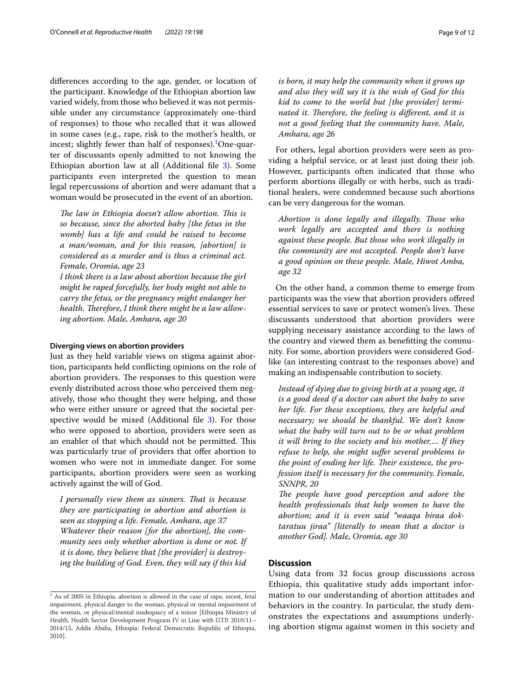diferences according to the age, gender, or location of the participant. Knowledge of the Ethiopian abortion law varied widely, from those who believed it was not permissible under any circumstance (approximately one-third of responses) to those who recalled that it was allowed in some cases (e.g., rape, risk to the mother's health, or incest; slightly fewer than half of responses).<sup>[1](#page-8-0)</sup>One-quarter of discussants openly admitted to not knowing the Ethiopian abortion law at all (Additional fle [3\)](#page-10-2). Some participants even interpreted the question to mean legal repercussions of abortion and were adamant that a woman would be prosecuted in the event of an abortion.

*The law in Ethiopia doesn't allow abortion. This is so because, since the aborted baby [the fetus in the womb] has a life and could be raised to become a man/woman, and for this reason, [abortion] is considered as a murder and is thus a criminal act. Female, Oromia, age 23*

*I think there is a law about abortion because the girl might be raped forcefully, her body might not able to carry the fetus, or the pregnancy might endanger her*  health. Therefore, I think there might be a law allow*ing abortion. Male, Amhara, age 20*

#### **Diverging views on abortion providers**

Just as they held variable views on stigma against abortion, participants held conficting opinions on the role of abortion providers. The responses to this question were evenly distributed across those who perceived them negatively, those who thought they were helping, and those who were either unsure or agreed that the societal per-spective would be mixed (Additional file [3\)](#page-10-2). For those who were opposed to abortion, providers were seen as an enabler of that which should not be permitted. This was particularly true of providers that offer abortion to women who were not in immediate danger. For some participants, abortion providers were seen as working actively against the will of God.

*I personally view them as sinners. Tat is because they are participating in abortion and abortion is seen as stopping a life. Female, Amhara, age 37 Whatever their reason [for the abortion], the community sees only whether abortion is done or not. If it is done, they believe that [the provider] is destroying the building of God. Even, they will say if this kid* 

*is born, it may help the community when it grows up and also they will say it is the wish of God for this kid to come to the world but [the provider] terminated it. Therefore, the feeling is different, and it is not a good feeling that the community have. Male, Amhara, age 26*

For others, legal abortion providers were seen as providing a helpful service, or at least just doing their job. However, participants often indicated that those who perform abortions illegally or with herbs, such as traditional healers, were condemned because such abortions can be very dangerous for the woman.

Abortion is done legally and illegally. Those who *work legally are accepted and there is nothing against these people. But those who work illegally in the community are not accepted. People don't have a good opinion on these people. Male, Hiwot Amba, age 32*

On the other hand, a common theme to emerge from participants was the view that abortion providers ofered essential services to save or protect women's lives. These discussants understood that abortion providers were supplying necessary assistance according to the laws of the country and viewed them as beneftting the community. For some, abortion providers were considered Godlike (an interesting contrast to the responses above) and making an indispensable contribution to society.

*Instead of dying due to giving birth at a young age, it is a good deed if a doctor can abort the baby to save her life. For these exceptions, they are helpful and necessary; we should be thankful. We don't know what the baby will turn out to be or what problem it will bring to the society and his mother…. If they refuse to help, she might sufer several problems to*  the point of ending her life. Their existence, the pro*fession itself is necessary for the community. Female, SNNPR, 20*

The people have good perception and adore the *health professionals that help women to have the abortion; and it is even said "waaqa biraa doktaratuu jiraa" [literally to mean that a doctor is another God]. Male, Oromia, age 30*

# **Discussion**

Using data from 32 focus group discussions across Ethiopia, this qualitative study adds important information to our understanding of abortion attitudes and behaviors in the country. In particular, the study demonstrates the expectations and assumptions underlying abortion stigma against women in this society and

<span id="page-8-0"></span> $1$  As of 2005 in Ethiopia, abortion is allowed in the case of rape, incest, fetal impairment, physical danger to the woman, physical or mental impairment of the woman, or physical/mental inadequacy of a minor [Ethiopia Ministry of Health, Health Sector Development Program IV in Line with GTP, 2010/11– 2014/15, Addis Ababa, Ethiopia: Federal Democratic Republic of Ethiopia, 2010].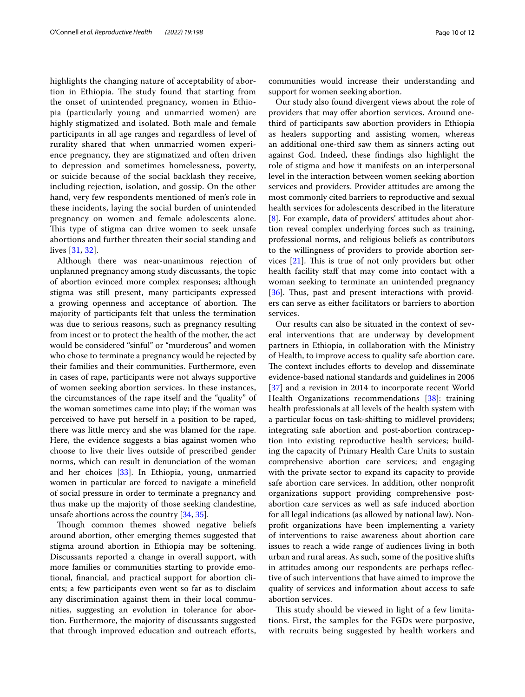highlights the changing nature of acceptability of abortion in Ethiopia. The study found that starting from the onset of unintended pregnancy, women in Ethiopia (particularly young and unmarried women) are highly stigmatized and isolated. Both male and female participants in all age ranges and regardless of level of rurality shared that when unmarried women experience pregnancy, they are stigmatized and often driven to depression and sometimes homelessness, poverty, or suicide because of the social backlash they receive, including rejection, isolation, and gossip. On the other hand, very few respondents mentioned of men's role in these incidents, laying the social burden of unintended pregnancy on women and female adolescents alone. This type of stigma can drive women to seek unsafe abortions and further threaten their social standing and lives [\[31](#page-11-27), [32](#page-11-30)].

Although there was near-unanimous rejection of unplanned pregnancy among study discussants, the topic of abortion evinced more complex responses; although stigma was still present, many participants expressed a growing openness and acceptance of abortion. The majority of participants felt that unless the termination was due to serious reasons, such as pregnancy resulting from incest or to protect the health of the mother, the act would be considered "sinful" or "murderous" and women who chose to terminate a pregnancy would be rejected by their families and their communities. Furthermore, even in cases of rape, participants were not always supportive of women seeking abortion services. In these instances, the circumstances of the rape itself and the "quality" of the woman sometimes came into play; if the woman was perceived to have put herself in a position to be raped, there was little mercy and she was blamed for the rape. Here, the evidence suggests a bias against women who choose to live their lives outside of prescribed gender norms, which can result in denunciation of the woman and her choices [[33\]](#page-11-31). In Ethiopia, young, unmarried women in particular are forced to navigate a minefeld of social pressure in order to terminate a pregnancy and thus make up the majority of those seeking clandestine, unsafe abortions across the country [\[34](#page-11-32), [35](#page-11-33)].

Though common themes showed negative beliefs around abortion, other emerging themes suggested that stigma around abortion in Ethiopia may be softening. Discussants reported a change in overall support, with more families or communities starting to provide emotional, fnancial, and practical support for abortion clients; a few participants even went so far as to disclaim any discrimination against them in their local communities, suggesting an evolution in tolerance for abortion. Furthermore, the majority of discussants suggested that through improved education and outreach eforts, communities would increase their understanding and support for women seeking abortion.

Our study also found divergent views about the role of providers that may offer abortion services. Around onethird of participants saw abortion providers in Ethiopia as healers supporting and assisting women, whereas an additional one-third saw them as sinners acting out against God. Indeed, these fndings also highlight the role of stigma and how it manifests on an interpersonal level in the interaction between women seeking abortion services and providers. Provider attitudes are among the most commonly cited barriers to reproductive and sexual health services for adolescents described in the literature [[8\]](#page-11-6). For example, data of providers' attitudes about abortion reveal complex underlying forces such as training, professional norms, and religious beliefs as contributors to the willingness of providers to provide abortion services  $[21]$  $[21]$ . This is true of not only providers but other health facility staff that may come into contact with a woman seeking to terminate an unintended pregnancy [[36\]](#page-11-34). Thus, past and present interactions with providers can serve as either facilitators or barriers to abortion services.

Our results can also be situated in the context of several interventions that are underway by development partners in Ethiopia, in collaboration with the Ministry of Health, to improve access to quality safe abortion care. The context includes efforts to develop and disseminate evidence-based national standards and guidelines in 2006 [[37\]](#page-11-35) and a revision in 2014 to incorporate recent World Health Organizations recommendations [\[38](#page-11-36)]: training health professionals at all levels of the health system with a particular focus on task-shifting to midlevel providers; integrating safe abortion and post-abortion contraception into existing reproductive health services; building the capacity of Primary Health Care Units to sustain comprehensive abortion care services; and engaging with the private sector to expand its capacity to provide safe abortion care services. In addition, other nonproft organizations support providing comprehensive postabortion care services as well as safe induced abortion for all legal indications (as allowed by national law). Nonproft organizations have been implementing a variety of interventions to raise awareness about abortion care issues to reach a wide range of audiences living in both urban and rural areas. As such, some of the positive shifts in attitudes among our respondents are perhaps refective of such interventions that have aimed to improve the quality of services and information about access to safe abortion services.

This study should be viewed in light of a few limitations. First, the samples for the FGDs were purposive, with recruits being suggested by health workers and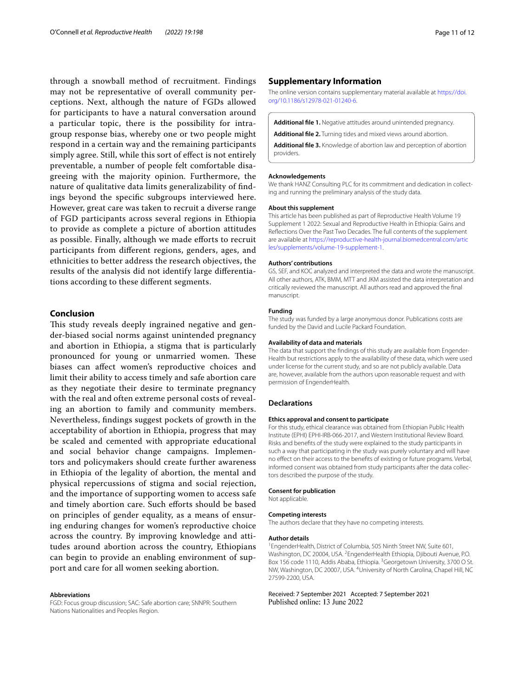through a snowball method of recruitment. Findings may not be representative of overall community perceptions. Next, although the nature of FGDs allowed for participants to have a natural conversation around a particular topic, there is the possibility for intragroup response bias, whereby one or two people might respond in a certain way and the remaining participants simply agree. Still, while this sort of efect is not entirely preventable, a number of people felt comfortable disagreeing with the majority opinion. Furthermore, the nature of qualitative data limits generalizability of fndings beyond the specifc subgroups interviewed here. However, great care was taken to recruit a diverse range of FGD participants across several regions in Ethiopia to provide as complete a picture of abortion attitudes as possible. Finally, although we made efforts to recruit participants from diferent regions, genders, ages, and ethnicities to better address the research objectives, the results of the analysis did not identify large diferentiations according to these diferent segments.

# **Conclusion**

This study reveals deeply ingrained negative and gender-biased social norms against unintended pregnancy and abortion in Ethiopia, a stigma that is particularly pronounced for young or unmarried women. These biases can afect women's reproductive choices and limit their ability to access timely and safe abortion care as they negotiate their desire to terminate pregnancy with the real and often extreme personal costs of revealing an abortion to family and community members. Nevertheless, fndings suggest pockets of growth in the acceptability of abortion in Ethiopia, progress that may be scaled and cemented with appropriate educational and social behavior change campaigns. Implementors and policymakers should create further awareness in Ethiopia of the legality of abortion, the mental and physical repercussions of stigma and social rejection, and the importance of supporting women to access safe and timely abortion care. Such efforts should be based on principles of gender equality, as a means of ensuring enduring changes for women's reproductive choice across the country. By improving knowledge and attitudes around abortion across the country, Ethiopians can begin to provide an enabling environment of support and care for all women seeking abortion.

#### **Abbreviations**

FGD: Focus group discussion; SAC: Safe abortion care; SNNPR: Southern Nations Nationalities and Peoples Region.

## **Supplementary Information**

The online version contains supplementary material available at [https://doi.](https://doi.org/10.1186/s12978-021-01240-6) [org/10.1186/s12978-021-01240-6](https://doi.org/10.1186/s12978-021-01240-6).

<span id="page-10-1"></span><span id="page-10-0"></span>**Additional fle 1.** Negative attitudes around unintended pregnancy.

<span id="page-10-2"></span>**Additional fle 2.** Turning tides and mixed views around abortion.

**Additional fle 3.** Knowledge of abortion law and perception of abortion providers.

#### **Acknowledgements**

We thank HANZ Consulting PLC for its commitment and dedication in collecting and running the preliminary analysis of the study data.

#### **About this supplement**

This article has been published as part of Reproductive Health Volume 19 Supplement 1 2022: Sexual and Reproductive Health in Ethiopia: Gains and Refections Over the Past Two Decades. The full contents of the supplement are available at [https://reproductive-health-journal.biomedcentral.com/artic](https://reproductive-health-journal.biomedcentral.com/articles/supplements/volume-19-supplement-1) [les/supplements/volume-19-supplement-1](https://reproductive-health-journal.biomedcentral.com/articles/supplements/volume-19-supplement-1).

#### **Authors' contributions**

GS, SEF, and KOC analyzed and interpreted the data and wrote the manuscript. All other authors, ATK, BMM, MTT and JKM assisted the data interpretation and critically reviewed the manuscript. All authors read and approved the fnal manuscript.

#### **Funding**

The study was funded by a large anonymous donor. Publications costs are funded by the David and Lucile Packard Foundation.

#### **Availability of data and materials**

The data that support the fndings of this study are available from Engender-Health but restrictions apply to the availability of these data, which were used under license for the current study, and so are not publicly available. Data are, however, available from the authors upon reasonable request and with permission of EngenderHealth.

#### **Declarations**

#### **Ethics approval and consent to participate**

For this study, ethical clearance was obtained from Ethiopian Public Health Institute (EPHI) EPHI-IRB-066-2017, and Western Institutional Review Board. Risks and benefts of the study were explained to the study participants in such a way that participating in the study was purely voluntary and will have no efect on their access to the benefts of existing or future programs. Verbal, informed consent was obtained from study participants after the data collectors described the purpose of the study.

#### **Consent for publication**

Not applicable.

#### **Competing interests**

The authors declare that they have no competing interests.

#### **Author details**

<sup>1</sup> EngenderHealth, District of Columbia, 505 Ninth Street NW, Suite 601, Washington, DC 20004, USA. <sup>2</sup> Engender Health Ethiopia, Djibouti Avenue, P.O. Box 156 code 1110, Addis Ababa, Ethiopia. <sup>3</sup> Georgetown University, 3700 O St. NW, Washington, DC 20007, USA. <sup>4</sup>University of North Carolina, Chapel Hill, NC 27599-2200, USA.

Received: 7 September 2021 Accepted: 7 September 2021Published online: 13 June 2022